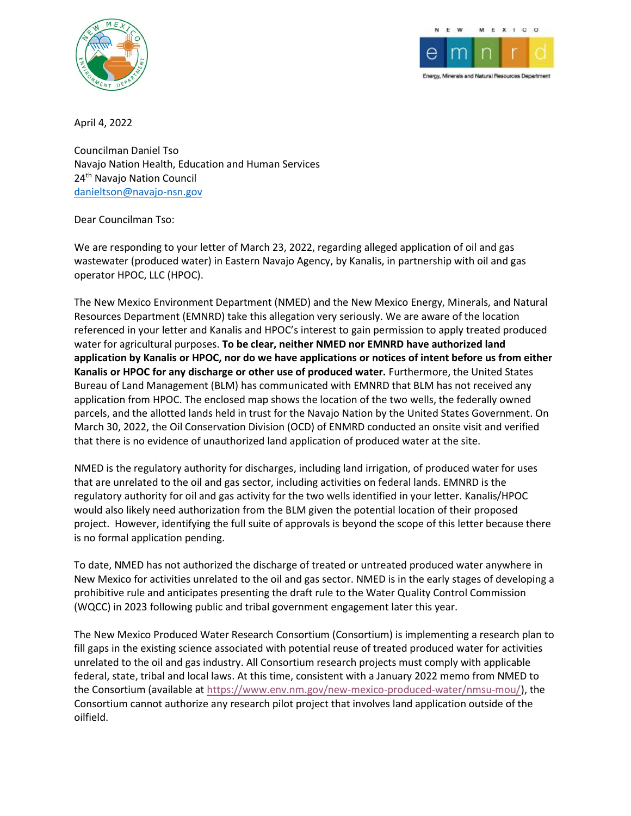



Energy, Minerals and Natural Resources Departmen

April 4, 2022

Councilman Daniel Tso Navajo Nation Health, Education and Human Services 24th Navajo Nation Council danieltson@navajo-nsn.gov

Dear Councilman Tso:

We are responding to your letter of March 23, 2022, regarding alleged application of oil and gas wastewater (produced water) in Eastern Navajo Agency, by Kanalis, in partnership with oil and gas operator HPOC, LLC (HPOC).

The New Mexico Environment Department (NMED) and the New Mexico Energy, Minerals, and Natural Resources Department (EMNRD) take this allegation very seriously. We are aware of the location referenced in your letter and Kanalis and HPOC's interest to gain permission to apply treated produced water for agricultural purposes. To be clear, neither NMED nor EMNRD have authorized land application by Kanalis or HPOC, nor do we have applications or notices of intent before us from either Kanalis or HPOC for any discharge or other use of produced water. Furthermore, the United States Bureau of Land Management (BLM) has communicated with EMNRD that BLM has not received any application from HPOC. The enclosed map shows the location of the two wells, the federally owned parcels, and the allotted lands held in trust for the Navajo Nation by the United States Government. On March 30, 2022, the Oil Conservation Division (OCD) of ENMRD conducted an onsite visit and verified that there is no evidence of unauthorized land application of produced water at the site.

NMED is the regulatory authority for discharges, including land irrigation, of produced water for uses that are unrelated to the oil and gas sector, including activities on federal lands. EMNRD is the regulatory authority for oil and gas activity for the two wells identified in your letter. Kanalis/HPOC would also likely need authorization from the BLM given the potential location of their proposed project. However, identifying the full suite of approvals is beyond the scope of this letter because there is no formal application pending.

To date, NMED has not authorized the discharge of treated or untreated produced water anywhere in New Mexico for activities unrelated to the oil and gas sector. NMED is in the early stages of developing a prohibitive rule and anticipates presenting the draft rule to the Water Quality Control Commission (WQCC) in 2023 following public and tribal government engagement later this year.

The New Mexico Produced Water Research Consortium (Consortium) is implementing a research plan to fill gaps in the existing science associated with potential reuse of treated produced water for activities unrelated to the oil and gas industry. All Consortium research projects must comply with applicable federal, state, tribal and local laws. At this time, consistent with a January 2022 memo from NMED to the Consortium (available at https://www.env.nm.gov/new-mexico-produced-water/nmsu-mou/), the Consortium cannot authorize any research pilot project that involves land application outside of the oilfield.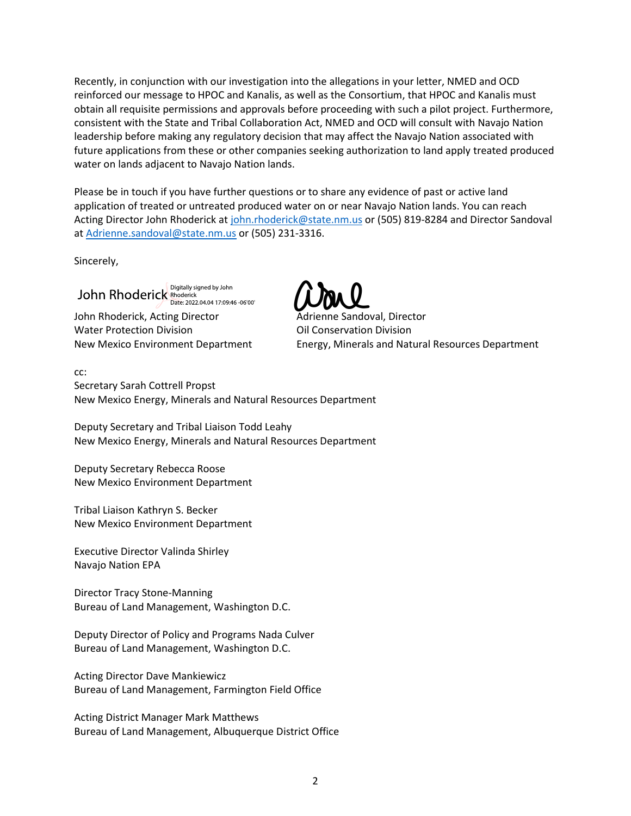Recently, in conjunction with our investigation into the allegations in your letter, NMED and OCD reinforced our message to HPOC and Kanalis, as well as the Consortium, that HPOC and Kanalis must obtain all requisite permissions and approvals before proceeding with such a pilot project. Furthermore, consistent with the State and Tribal Collaboration Act, NMED and OCD will consult with Navajo Nation leadership before making any regulatory decision that may affect the Navajo Nation associated with future applications from these or other companies seeking authorization to land apply treated produced water on lands adjacent to Navajo Nation lands.

Please be in touch if you have further questions or to share any evidence of past or active land application of treated or untreated produced water on or near Navajo Nation lands. You can reach Acting Director John Rhoderick at john.rhoderick@state.nm.us or (505) 819-8284 and Director Sandoval at Adrienne.sandoval@state.nm.us or (505) 231-3316.

Sincerely,

John Rhoderick Rhoderick Date: 2022.04.04 17:09:46 -06'00'

John Rhoderick, Acting Director **Adrienne Sandoval, Director** Water Protection Division **Conservation Division** Oil Conservation Division

New Mexico Environment Department **Energy, Minerals and Natural Resources Department** 

cc:

Secretary Sarah Cottrell Propst New Mexico Energy, Minerals and Natural Resources Department

Deputy Secretary and Tribal Liaison Todd Leahy New Mexico Energy, Minerals and Natural Resources Department

Deputy Secretary Rebecca Roose New Mexico Environment Department

Tribal Liaison Kathryn S. Becker New Mexico Environment Department

Executive Director Valinda Shirley Navajo Nation EPA

Director Tracy Stone-Manning Bureau of Land Management, Washington D.C.

Deputy Director of Policy and Programs Nada Culver Bureau of Land Management, Washington D.C.

Acting Director Dave Mankiewicz Bureau of Land Management, Farmington Field Office

Acting District Manager Mark Matthews Bureau of Land Management, Albuquerque District Office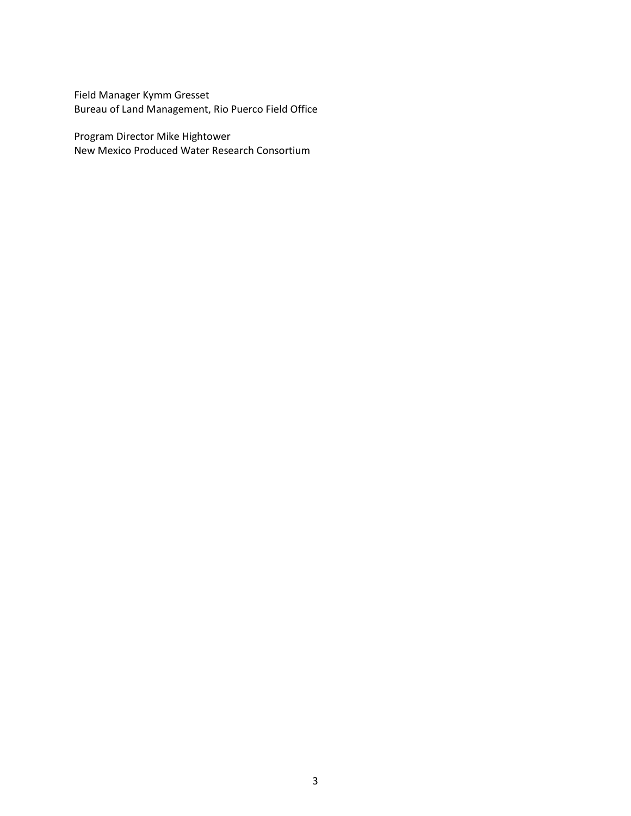Field Manager Kymm Gresset Bureau of Land Management, Rio Puerco Field Office

Program Director Mike Hightower New Mexico Produced Water Research Consortium